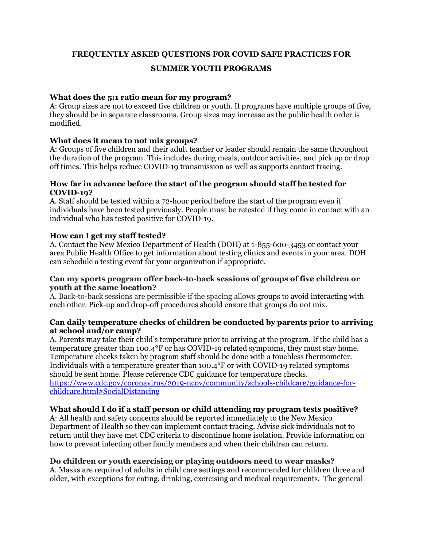**FREQUENTLY ASKED QUESTIONS FOR COVID SAFE PRACTICES FOR** 

# **SUMMER YOUTH PROGRAMS**

## **What does the 5:1 ratio mean for my program?**

A: Group sizes are not to exceed five children or youth. If programs have multiple groups of five, they should be in separate classrooms. Group sizes may increase as the public health order is modified.

## **What does it mean to not mix groups?**

A: Groups of five children and their adult teacher or leader should remain the same throughout the duration of the program. This includes during meals, outdoor activities, and pick up or drop off times. This helps reduce COVID-19 transmission as well as supports contact tracing.

#### **How far in advance before the start of the program should staff be tested for COVID-19?**

A. Staff should be tested within a 72-hour period before the start of the program even if individuals have been tested previously. People must be retested if they come in contact with an individual who has tested positive for COVID-19.

## **How can I get my staff tested?**

A. Contact the New Mexico Department of Health (DOH) at 1-855-600-3453 or contact your area Public Health Office to get information about testing clinics and events in your area. DOH can schedule a testing event for your organization if appropriate.

#### **Can my sports program offer back-to-back sessions of groups of five children or youth at the same location?**

A. Back-to-back sessions are permissible if the spacing allows groups to avoid interacting with each other. Pick-up and drop-off procedures should ensure that groups do not mix.

#### **Can daily temperature checks of children be conducted by parents prior to arriving at school and/or camp?**

A. Parents may take their child's temperature prior to arriving at the program. If the child has a temperature greater than 100.4°F or has COVID-19 related symptoms, they must stay home. Temperature checks taken by program staff should be done with a touchless thermometer. Individuals with a temperature greater than 100.4°F or with COVID-19 related symptoms should be sent home. Please reference CDC guidance for temperature checks. [https://www.cdc.gov/coronavirus/2019-ncov/community/schools-childcare/guidance-for](https://www.cdc.gov/coronavirus/2019-ncov/community/schools-childcare/guidance-for-childcare.html#SocialDistancing)[childcare.html#SocialDistancing](https://www.cdc.gov/coronavirus/2019-ncov/community/schools-childcare/guidance-for-childcare.html#SocialDistancing)

# **What should I do if a staff person or child attending my program tests positive?**

A: All health and safety concerns should be reported immediately to the New Mexico Department of Health so they can implement contact tracing. Advise sick individuals not to return until they have met CDC criteria to discontinue home isolation. Provide information on how to prevent infecting other family members and when their children can return.

## **Do children or youth exercising or playing outdoors need to wear masks?**

A. Masks are required of adults in child care settings and recommended for children three and older, with exceptions for eating, drinking, exercising and medical requirements. The general